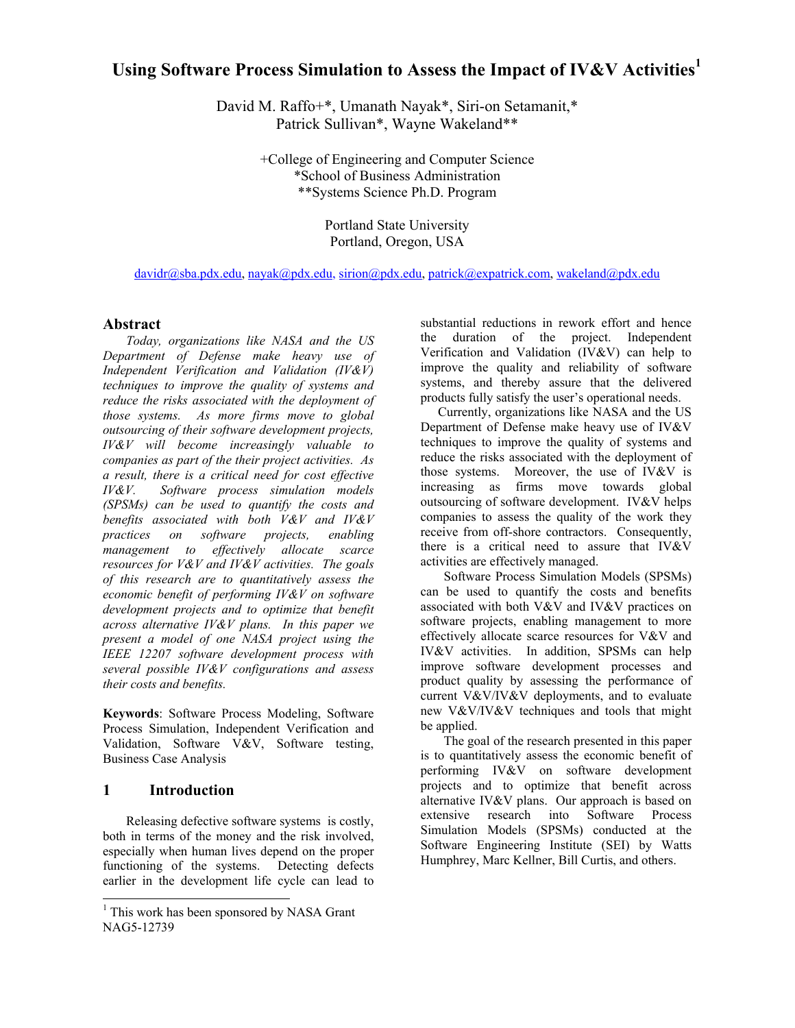# **Using Software Process Simulation to Assess the Impact of IV&V Activities<sup>1</sup>**

David M. Raffo+\*, Umanath Nayak\*, Siri-on Setamanit,\* Patrick Sullivan\*, Wayne Wakeland\*\*

> +College of Engineering and Computer Science \*School of Business Administration \*\*Systems Science Ph.D. Program

> > Portland State University Portland, Oregon, USA

davidr@sba.pdx.edu, nayak@pdx.edu, sirion@pdx.edu, patrick@expatrick.com, wakeland@pdx.edu

### **Abstract**

*Today, organizations like NASA and the US Department of Defense make heavy use of Independent Verification and Validation (IV&V) techniques to improve the quality of systems and reduce the risks associated with the deployment of those systems. As more firms move to global outsourcing of their software development projects, IV&V will become increasingly valuable to companies as part of the their project activities. As a result, there is a critical need for cost effective IV&V. Software process simulation models (SPSMs) can be used to quantify the costs and benefits associated with both V&V and IV&V practices on software projects, enabling management to effectively allocate scarce resources for V&V and IV&V activities. The goals of this research are to quantitatively assess the economic benefit of performing IV&V on software development projects and to optimize that benefit across alternative IV&V plans. In this paper we present a model of one NASA project using the IEEE 12207 software development process with several possible IV&V configurations and assess their costs and benefits.* 

**Keywords**: Software Process Modeling, Software Process Simulation, Independent Verification and Validation, Software V&V, Software testing, Business Case Analysis

### **1 Introduction**

 $\overline{\phantom{a}}$ 

Releasing defective software systems is costly, both in terms of the money and the risk involved, especially when human lives depend on the proper functioning of the systems. Detecting defects earlier in the development life cycle can lead to

substantial reductions in rework effort and hence the duration of the project. Independent Verification and Validation (IV&V) can help to improve the quality and reliability of software systems, and thereby assure that the delivered products fully satisfy the user's operational needs.

Currently, organizations like NASA and the US Department of Defense make heavy use of IV&V techniques to improve the quality of systems and reduce the risks associated with the deployment of those systems. Moreover, the use of IV&V is increasing as firms move towards global outsourcing of software development. IV&V helps companies to assess the quality of the work they receive from off-shore contractors. Consequently, there is a critical need to assure that IV&V activities are effectively managed.

Software Process Simulation Models (SPSMs) can be used to quantify the costs and benefits associated with both V&V and IV&V practices on software projects, enabling management to more effectively allocate scarce resources for V&V and IV&V activities. In addition, SPSMs can help improve software development processes and product quality by assessing the performance of current V&V/IV&V deployments, and to evaluate new V&V/IV&V techniques and tools that might be applied.

The goal of the research presented in this paper is to quantitatively assess the economic benefit of performing IV&V on software development projects and to optimize that benefit across alternative IV&V plans. Our approach is based on extensive research into Software Process Simulation Models (SPSMs) conducted at the Software Engineering Institute (SEI) by Watts Humphrey, Marc Kellner, Bill Curtis, and others.

<sup>&</sup>lt;sup>1</sup> This work has been sponsored by NASA Grant NAG5-12739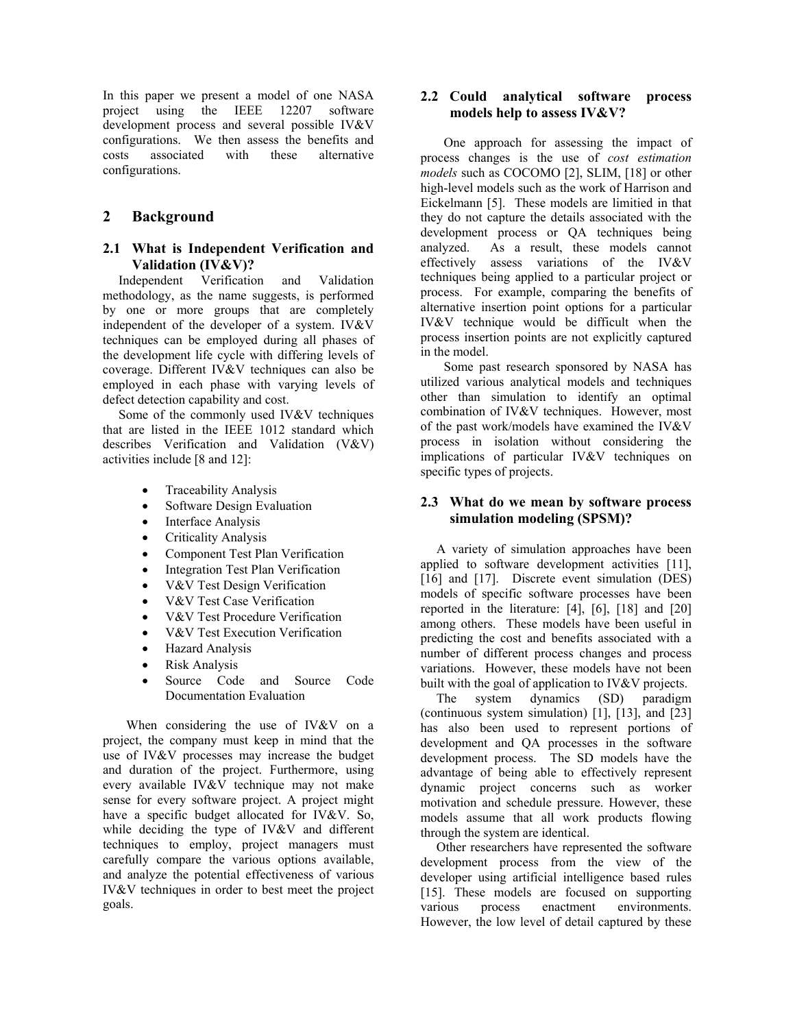In this paper we present a model of one NASA project using the IEEE 12207 software development process and several possible IV&V configurations. We then assess the benefits and costs associated with these alternative configurations.

## **2 Background**

### **2.1 What is Independent Verification and Validation (IV&V)?**

Independent Verification and Validation methodology, as the name suggests, is performed by one or more groups that are completely independent of the developer of a system. IV&V techniques can be employed during all phases of the development life cycle with differing levels of coverage. Different IV&V techniques can also be employed in each phase with varying levels of defect detection capability and cost.

Some of the commonly used IV&V techniques that are listed in the IEEE 1012 standard which describes Verification and Validation (V&V) activities include [8 and 12]:

- Traceability Analysis
- Software Design Evaluation
- Interface Analysis
- Criticality Analysis
- Component Test Plan Verification
- Integration Test Plan Verification
- V&V Test Design Verification
- V&V Test Case Verification
- V&V Test Procedure Verification
- V&V Test Execution Verification
- Hazard Analysis
- Risk Analysis
- Source Code and Source Code Documentation Evaluation

When considering the use of IV&V on a project, the company must keep in mind that the use of IV&V processes may increase the budget and duration of the project. Furthermore, using every available IV&V technique may not make sense for every software project. A project might have a specific budget allocated for IV&V. So, while deciding the type of IV&V and different techniques to employ, project managers must carefully compare the various options available, and analyze the potential effectiveness of various IV&V techniques in order to best meet the project goals.

### **2.2 Could analytical software process models help to assess IV&V?**

One approach for assessing the impact of process changes is the use of *cost estimation models* such as COCOMO [2], SLIM, [18] or other high-level models such as the work of Harrison and Eickelmann [5]. These models are limitied in that they do not capture the details associated with the development process or QA techniques being analyzed. As a result, these models cannot effectively assess variations of the IV&V techniques being applied to a particular project or process. For example, comparing the benefits of alternative insertion point options for a particular IV&V technique would be difficult when the process insertion points are not explicitly captured in the model.

Some past research sponsored by NASA has utilized various analytical models and techniques other than simulation to identify an optimal combination of IV&V techniques. However, most of the past work/models have examined the IV&V process in isolation without considering the implications of particular IV&V techniques on specific types of projects.

### **2.3 What do we mean by software process simulation modeling (SPSM)?**

A variety of simulation approaches have been applied to software development activities [11], [16] and [17]. Discrete event simulation (DES) models of specific software processes have been reported in the literature: [4], [6], [18] and [20] among others. These models have been useful in predicting the cost and benefits associated with a number of different process changes and process variations. However, these models have not been built with the goal of application to IV&V projects.

The system dynamics (SD) paradigm (continuous system simulation) [1], [13], and [23] has also been used to represent portions of development and QA processes in the software development process. The SD models have the advantage of being able to effectively represent dynamic project concerns such as worker motivation and schedule pressure. However, these models assume that all work products flowing through the system are identical.

Other researchers have represented the software development process from the view of the developer using artificial intelligence based rules [15]. These models are focused on supporting various process enactment environments. However, the low level of detail captured by these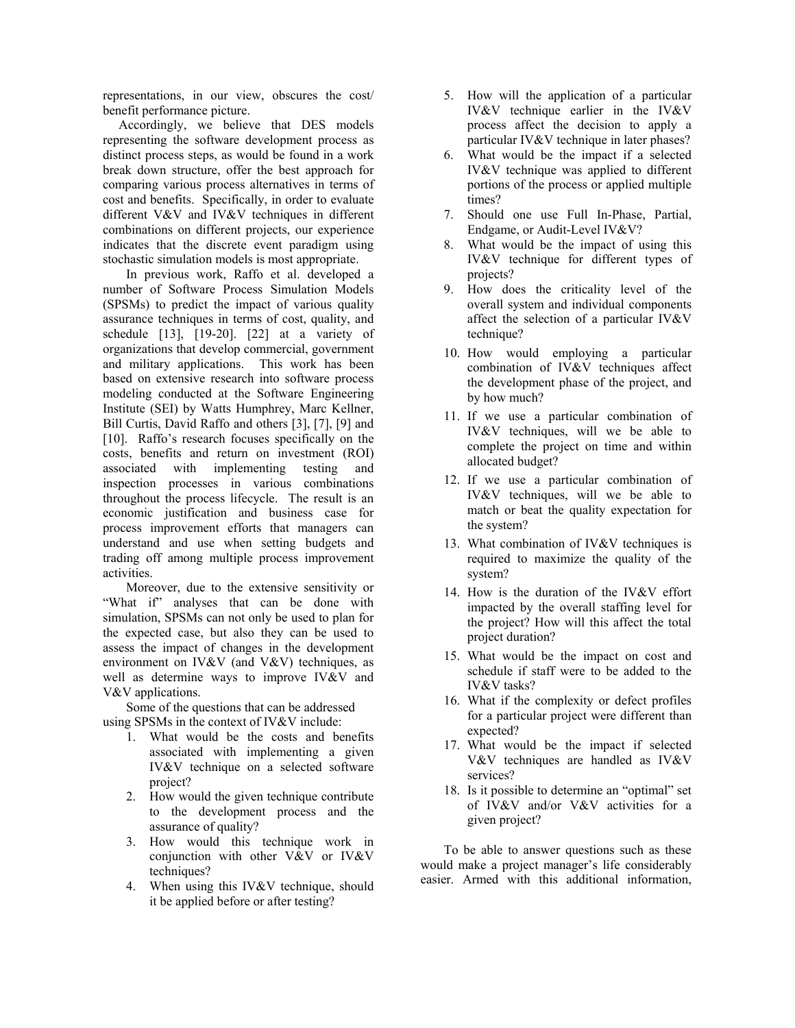representations, in our view, obscures the cost/ benefit performance picture.

Accordingly, we believe that DES models representing the software development process as distinct process steps, as would be found in a work break down structure, offer the best approach for comparing various process alternatives in terms of cost and benefits. Specifically, in order to evaluate different V&V and IV&V techniques in different combinations on different projects, our experience indicates that the discrete event paradigm using stochastic simulation models is most appropriate.

In previous work, Raffo et al. developed a number of Software Process Simulation Models (SPSMs) to predict the impact of various quality assurance techniques in terms of cost, quality, and schedule [13], [19-20]. [22] at a variety of organizations that develop commercial, government and military applications. This work has been based on extensive research into software process modeling conducted at the Software Engineering Institute (SEI) by Watts Humphrey, Marc Kellner, Bill Curtis, David Raffo and others [3], [7], [9] and [10]. Raffo's research focuses specifically on the costs, benefits and return on investment (ROI) associated with implementing testing and inspection processes in various combinations throughout the process lifecycle. The result is an economic justification and business case for process improvement efforts that managers can understand and use when setting budgets and trading off among multiple process improvement activities.

Moreover, due to the extensive sensitivity or "What if" analyses that can be done with simulation, SPSMs can not only be used to plan for the expected case, but also they can be used to assess the impact of changes in the development environment on IV&V (and V&V) techniques, as well as determine ways to improve IV&V and V&V applications.

Some of the questions that can be addressed using SPSMs in the context of IV&V include:

- 1. What would be the costs and benefits associated with implementing a given IV&V technique on a selected software project?
- 2. How would the given technique contribute to the development process and the assurance of quality?
- 3. How would this technique work in conjunction with other V&V or IV&V techniques?
- 4. When using this IV&V technique, should it be applied before or after testing?
- 5. How will the application of a particular IV&V technique earlier in the IV&V process affect the decision to apply a particular IV&V technique in later phases?
- 6. What would be the impact if a selected IV&V technique was applied to different portions of the process or applied multiple times?
- 7. Should one use Full In-Phase, Partial, Endgame, or Audit-Level IV&V?
- 8. What would be the impact of using this IV&V technique for different types of projects?
- 9. How does the criticality level of the overall system and individual components affect the selection of a particular IV&V technique?
- 10. How would employing a particular combination of IV&V techniques affect the development phase of the project, and by how much?
- 11. If we use a particular combination of IV&V techniques, will we be able to complete the project on time and within allocated budget?
- 12. If we use a particular combination of IV&V techniques, will we be able to match or beat the quality expectation for the system?
- 13. What combination of IV&V techniques is required to maximize the quality of the system?
- 14. How is the duration of the IV&V effort impacted by the overall staffing level for the project? How will this affect the total project duration?
- 15. What would be the impact on cost and schedule if staff were to be added to the IV&V tasks?
- 16. What if the complexity or defect profiles for a particular project were different than expected?
- 17. What would be the impact if selected V&V techniques are handled as IV&V services?
- 18. Is it possible to determine an "optimal" set of IV&V and/or V&V activities for a given project?

To be able to answer questions such as these would make a project manager's life considerably easier. Armed with this additional information,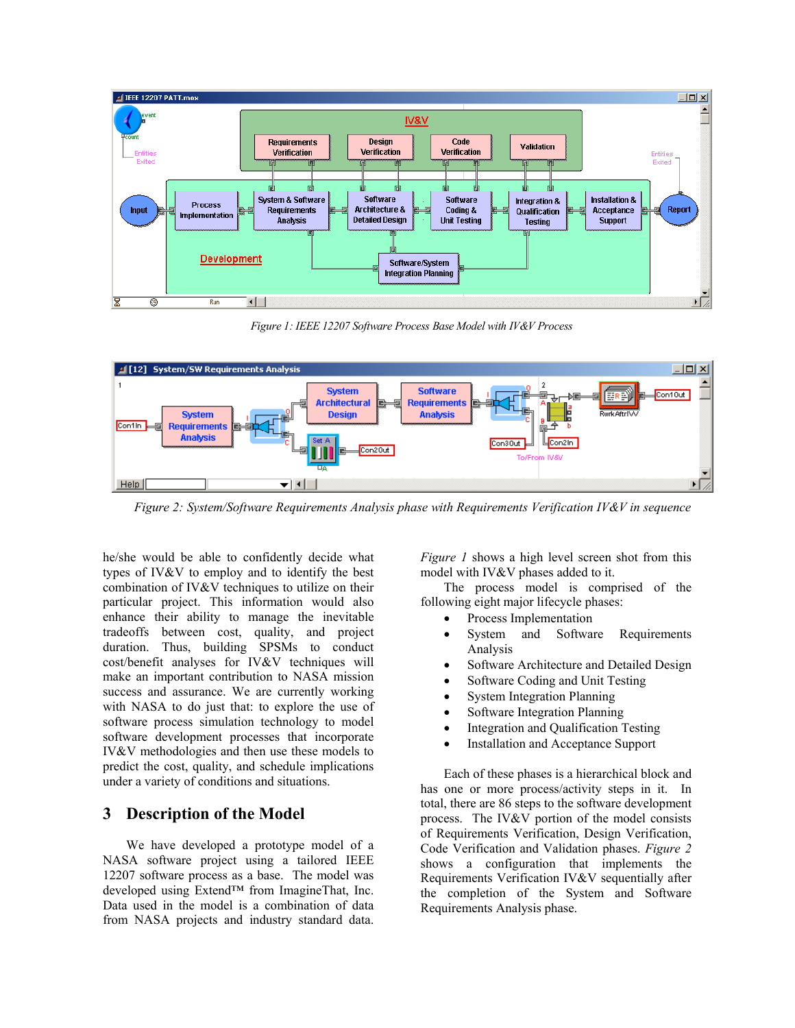

*Figure 1: IEEE 12207 Software Process Base Model with IV&V Process* 



*Figure 2: System/Software Requirements Analysis phase with Requirements Verification IV&V in sequence* 

he/she would be able to confidently decide what types of IV&V to employ and to identify the best combination of IV&V techniques to utilize on their particular project. This information would also enhance their ability to manage the inevitable tradeoffs between cost, quality, and project duration. Thus, building SPSMs to conduct cost/benefit analyses for IV&V techniques will make an important contribution to NASA mission success and assurance. We are currently working with NASA to do just that: to explore the use of software process simulation technology to model software development processes that incorporate IV&V methodologies and then use these models to predict the cost, quality, and schedule implications under a variety of conditions and situations.

# **3 Description of the Model**

We have developed a prototype model of a NASA software project using a tailored IEEE 12207 software process as a base. The model was developed using Extend™ from ImagineThat, Inc. Data used in the model is a combination of data from NASA projects and industry standard data. *Figure 1* shows a high level screen shot from this model with IV&V phases added to it.

The process model is comprised of the following eight major lifecycle phases:

- Process Implementation
- System and Software Requirements Analysis
- Software Architecture and Detailed Design
- Software Coding and Unit Testing
- **System Integration Planning**
- Software Integration Planning
- Integration and Qualification Testing
- Installation and Acceptance Support

Each of these phases is a hierarchical block and has one or more process/activity steps in it. In total, there are 86 steps to the software development process. The IV&V portion of the model consists of Requirements Verification, Design Verification, Code Verification and Validation phases. *Figure 2* shows a configuration that implements the Requirements Verification IV&V sequentially after the completion of the System and Software Requirements Analysis phase.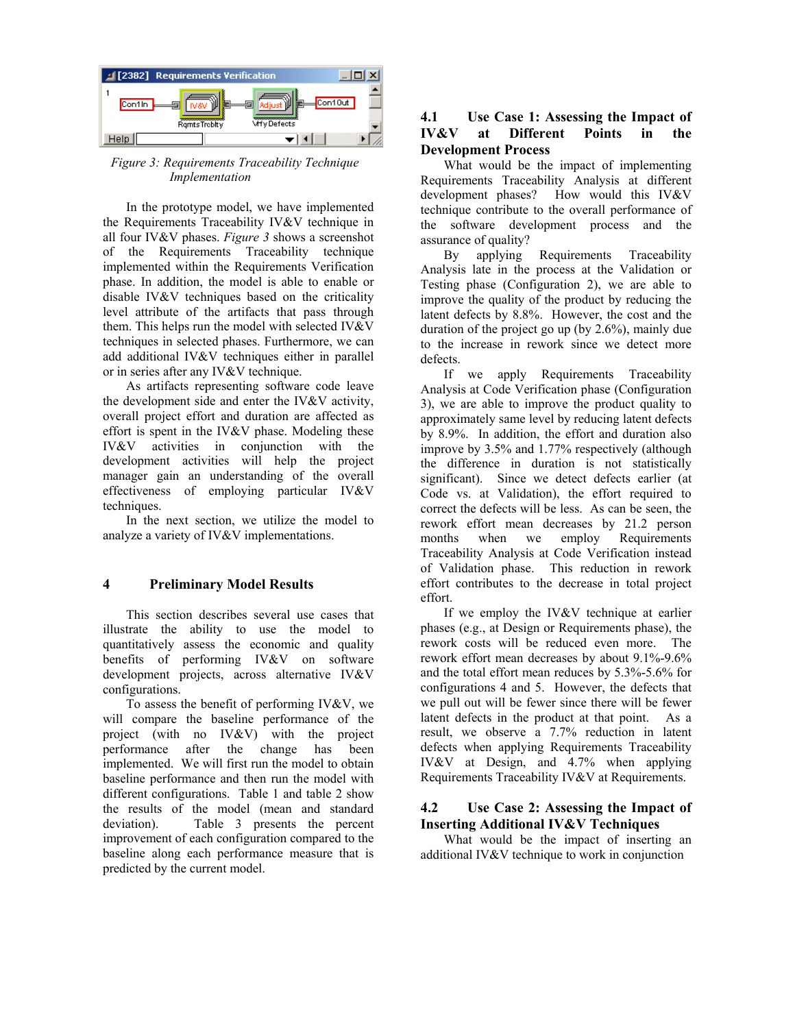

*Figure 3: Requirements Traceability Technique Implementation* 

In the prototype model, we have implemented the Requirements Traceability IV&V technique in all four IV&V phases. *Figure 3* shows a screenshot of the Requirements Traceability technique implemented within the Requirements Verification phase. In addition, the model is able to enable or disable IV&V techniques based on the criticality level attribute of the artifacts that pass through them. This helps run the model with selected IV&V techniques in selected phases. Furthermore, we can add additional IV&V techniques either in parallel or in series after any IV&V technique.

As artifacts representing software code leave the development side and enter the IV&V activity, overall project effort and duration are affected as effort is spent in the IV&V phase. Modeling these IV&V activities in conjunction with the development activities will help the project manager gain an understanding of the overall effectiveness of employing particular IV&V techniques.

In the next section, we utilize the model to analyze a variety of IV&V implementations.

### **4 Preliminary Model Results**

This section describes several use cases that illustrate the ability to use the model to quantitatively assess the economic and quality benefits of performing IV&V on software development projects, across alternative IV&V configurations.

To assess the benefit of performing IV&V, we will compare the baseline performance of the project (with no IV&V) with the project performance after the change has been implemented. We will first run the model to obtain baseline performance and then run the model with different configurations. Table 1 and table 2 show the results of the model (mean and standard deviation). Table 3 presents the percent improvement of each configuration compared to the baseline along each performance measure that is predicted by the current model.

## **4.1 Use Case 1: Assessing the Impact of IV&V at Different Points in the Development Process**

What would be the impact of implementing Requirements Traceability Analysis at different development phases? How would this IV&V technique contribute to the overall performance of the software development process and the assurance of quality?

By applying Requirements Traceability Analysis late in the process at the Validation or Testing phase (Configuration 2), we are able to improve the quality of the product by reducing the latent defects by 8.8%. However, the cost and the duration of the project go up (by 2.6%), mainly due to the increase in rework since we detect more defects.

If we apply Requirements Traceability Analysis at Code Verification phase (Configuration 3), we are able to improve the product quality to approximately same level by reducing latent defects by 8.9%. In addition, the effort and duration also improve by 3.5% and 1.77% respectively (although the difference in duration is not statistically significant). Since we detect defects earlier (at Code vs. at Validation), the effort required to correct the defects will be less. As can be seen, the rework effort mean decreases by 21.2 person months when we employ Requirements Traceability Analysis at Code Verification instead of Validation phase. This reduction in rework effort contributes to the decrease in total project effort.

If we employ the IV&V technique at earlier phases (e.g., at Design or Requirements phase), the rework costs will be reduced even more. The rework effort mean decreases by about 9.1%-9.6% and the total effort mean reduces by 5.3%-5.6% for configurations 4 and 5. However, the defects that we pull out will be fewer since there will be fewer latent defects in the product at that point. As a result, we observe a 7.7% reduction in latent defects when applying Requirements Traceability IV&V at Design, and 4.7% when applying Requirements Traceability IV&V at Requirements.

### **4.2 Use Case 2: Assessing the Impact of Inserting Additional IV&V Techniques**

What would be the impact of inserting an additional IV&V technique to work in conjunction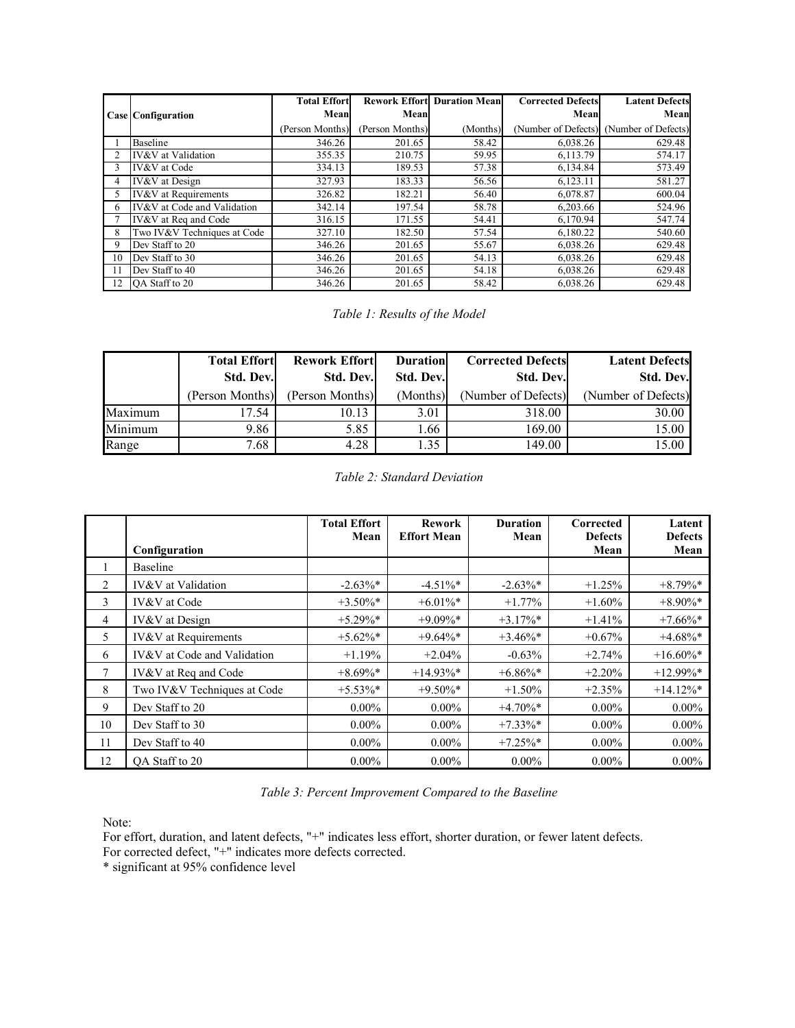|    |                                 | <b>Total Effort</b> |                 | <b>Rework Effort Duration Mean</b> | <b>Corrected Defects</b> | <b>Latent Defects</b>                   |
|----|---------------------------------|---------------------|-----------------|------------------------------------|--------------------------|-----------------------------------------|
|    | <b>Case Configuration</b>       | Mean                | Mean            |                                    | Mean                     | Mean                                    |
|    |                                 | (Person Months)     | (Person Months) | (Months)                           |                          | (Number of Defects) (Number of Defects) |
|    | Baseline                        | 346.26              | 201.65          | 58.42                              | 6,038.26                 | 629.48                                  |
|    | IV&V at Validation              | 355.35              | 210.75          | 59.95                              | 6,113.79                 | 574.17                                  |
|    | IV&V at Code                    | 334.13              | 189.53          | 57.38                              | 6,134.84                 | 573.49                                  |
| 4  | <b>IV&amp;V</b> at Design       | 327.93              | 183.33          | 56.56                              | 6,123.11                 | 581.27                                  |
| 5. | <b>IV&amp;V</b> at Requirements | 326.82              | 182.21          | 56.40                              | 6,078.87                 | 600.04                                  |
| 6  | IV&V at Code and Validation     | 342.14              | 197.54          | 58.78                              | 6,203.66                 | 524.96                                  |
|    | IV&V at Req and Code            | 316.15              | 171.55          | 54.41                              | 6,170.94                 | 547.74                                  |
| 8  | Two IV&V Techniques at Code     | 327.10              | 182.50          | 57.54                              | 6,180.22                 | 540.60                                  |
| 9  | Dev Staff to 20                 | 346.26              | 201.65          | 55.67                              | 6,038.26                 | 629.48                                  |
| 10 | Dev Staff to 30                 | 346.26              | 201.65          | 54.13                              | 6,038.26                 | 629.48                                  |
|    | Dev Staff to 40                 | 346.26              | 201.65          | 54.18                              | 6.038.26                 | 629.48                                  |
| 12 | OA Staff to 20                  | 346.26              | 201.65          | 58.42                              | 6.038.26                 | 629.48                                  |

*Table 1: Results of the Model* 

|         | <b>Total Effort</b> | <b>Rework Effortl</b> | <b>Duration</b> | <b>Corrected Defects</b> | <b>Latent Defects</b> |
|---------|---------------------|-----------------------|-----------------|--------------------------|-----------------------|
|         | <b>Std. Dev.</b>    | Std. Dev.             | Std. Dev.       | Std. Dev.                | Std. Dev.             |
|         | (Person Months)     | (Person Months)       | (Months)        | (Number of Defects)      | (Number of Defects)   |
| Maximum | 7.54                | 10.13                 | 3.01            | 318.00                   | 30.00                 |
| Minimum | 9.86                | 5.85                  | 1.66            | 169.00                   | 15.00                 |
| Range   | 7.68                | 4.28                  | .35             | 149.00                   | 15.00                 |

|    |                                 | <b>Total Effort</b><br>Mean | <b>Rework</b><br><b>Effort Mean</b> | <b>Duration</b><br>Mean | Corrected<br><b>Defects</b> | Latent<br><b>Defects</b> |
|----|---------------------------------|-----------------------------|-------------------------------------|-------------------------|-----------------------------|--------------------------|
|    | Configuration                   |                             |                                     |                         | Mean                        | Mean                     |
|    | <b>Baseline</b>                 |                             |                                     |                         |                             |                          |
| 2  | <b>IV&amp;V</b> at Validation   | $-2.63\%$ *                 | $-4.51\%$ *                         | $-2.63\%*$              | $+1.25%$                    | $+8.79\%*$               |
| 3  | <b>IV&amp;V</b> at Code         | $+3.50\%$ *                 | $+6.01\%$ *                         | $+1.77%$                | $+1.60\%$                   | $+8.90\%*$               |
| 4  | <b>IV&amp;V</b> at Design       | $+5.29\%*$                  | $+9.09\%*$                          | $+3.17\%$ *             | $+1.41%$                    | $+7.66\%$ *              |
| 5  | <b>IV&amp;V</b> at Requirements | $+5.62\%$ *                 | $+9.64\%$ *                         | $+3.46\%$ *             | $+0.67%$                    | $+4.68\%$ *              |
| 6  | IV&V at Code and Validation     | $+1.19%$                    | $+2.04%$                            | $-0.63%$                | $+2.74%$                    | $+16.60\%$ *             |
| 7  | IV&V at Req and Code            | $+8.69\%*$                  | $+14.93\%*$                         | $+6.86\%$ *             | $+2.20%$                    | $+12.99\%*$              |
| 8  | Two IV&V Techniques at Code     | $+5.53\%$ *                 | $+9.50\%$ *                         | $+1.50%$                | $+2.35%$                    | $+14.12\%$ *             |
| 9  | Dev Staff to 20                 | $0.00\%$                    | $0.00\%$                            | $+4.70\%$ *             | $0.00\%$                    | $0.00\%$                 |
| 10 | Dev Staff to 30                 | $0.00\%$                    | $0.00\%$                            | $+7.33\%*$              | $0.00\%$                    | $0.00\%$                 |
| 11 | Dev Staff to 40                 | $0.00\%$                    | $0.00\%$                            | $+7.25\%$ *             | $0.00\%$                    | $0.00\%$                 |
| 12 | OA Staff to 20                  | $0.00\%$                    | $0.00\%$                            | $0.00\%$                | $0.00\%$                    | $0.00\%$                 |

*Table 3: Percent Improvement Compared to the Baseline* 

Note:

For effort, duration, and latent defects, "+" indicates less effort, shorter duration, or fewer latent defects.

For corrected defect, "+" indicates more defects corrected.

\* significant at 95% confidence level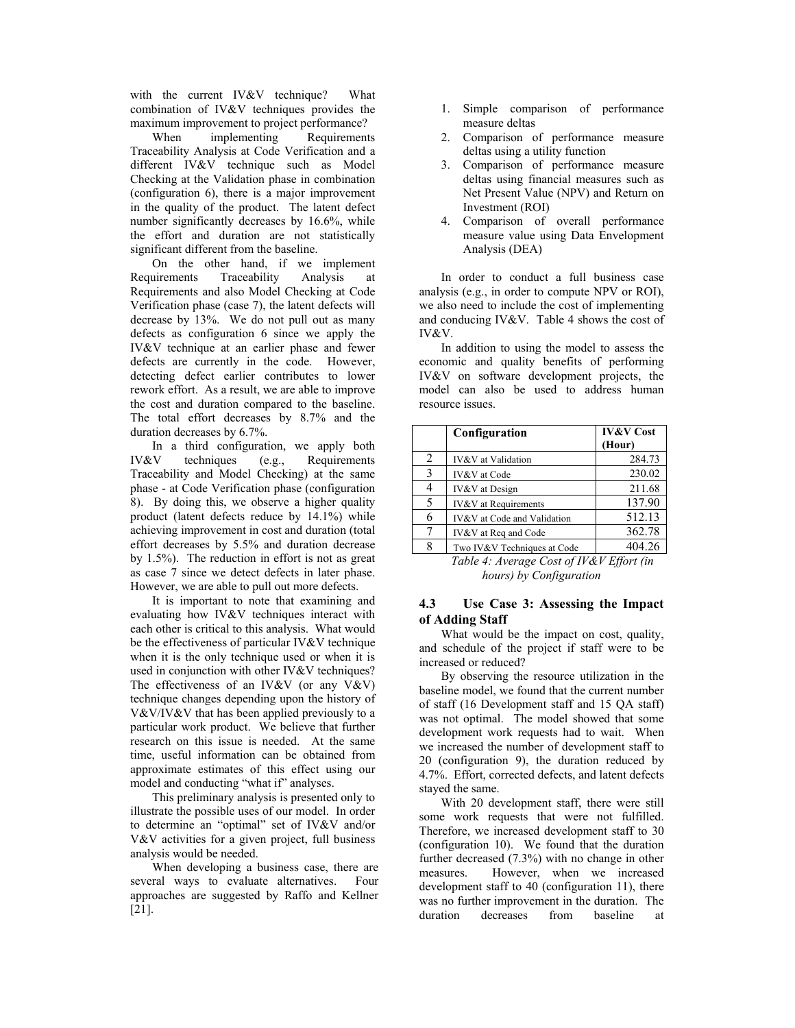with the current IV&V technique? What combination of IV&V techniques provides the maximum improvement to project performance?

When implementing Requirements Traceability Analysis at Code Verification and a different IV&V technique such as Model Checking at the Validation phase in combination (configuration 6), there is a major improvement in the quality of the product. The latent defect number significantly decreases by 16.6%, while the effort and duration are not statistically significant different from the baseline.

On the other hand, if we implement Requirements Traceability Analysis at Requirements and also Model Checking at Code Verification phase (case 7), the latent defects will decrease by 13%. We do not pull out as many defects as configuration 6 since we apply the IV&V technique at an earlier phase and fewer defects are currently in the code. However, detecting defect earlier contributes to lower rework effort. As a result, we are able to improve the cost and duration compared to the baseline. The total effort decreases by 8.7% and the duration decreases by 6.7%.

In a third configuration, we apply both IV&V techniques (e.g., Requirements Traceability and Model Checking) at the same phase - at Code Verification phase (configuration 8). By doing this, we observe a higher quality product (latent defects reduce by 14.1%) while achieving improvement in cost and duration (total effort decreases by 5.5% and duration decrease by 1.5%). The reduction in effort is not as great as case 7 since we detect defects in later phase. However, we are able to pull out more defects.

It is important to note that examining and evaluating how IV&V techniques interact with each other is critical to this analysis. What would be the effectiveness of particular IV&V technique when it is the only technique used or when it is used in conjunction with other IV&V techniques? The effectiveness of an IV&V (or any V&V) technique changes depending upon the history of V&V/IV&V that has been applied previously to a particular work product. We believe that further research on this issue is needed. At the same time, useful information can be obtained from approximate estimates of this effect using our model and conducting "what if" analyses.

This preliminary analysis is presented only to illustrate the possible uses of our model. In order to determine an "optimal" set of IV&V and/or V&V activities for a given project, full business analysis would be needed.

When developing a business case, there are several ways to evaluate alternatives. Four approaches are suggested by Raffo and Kellner [21].

- 1. Simple comparison of performance measure deltas
- 2. Comparison of performance measure deltas using a utility function
- 3. Comparison of performance measure deltas using financial measures such as Net Present Value (NPV) and Return on Investment (ROI)
- 4. Comparison of overall performance measure value using Data Envelopment Analysis (DEA)

In order to conduct a full business case analysis (e.g., in order to compute NPV or ROI), we also need to include the cost of implementing and conducing IV&V. Table 4 shows the cost of IV&V.

In addition to using the model to assess the economic and quality benefits of performing IV&V on software development projects, the model can also be used to address human resource issues.

|   | Configuration                   | <b>IV&amp;V Cost</b><br>(Hour) |
|---|---------------------------------|--------------------------------|
| 2 | IV&V at Validation              | 284.73                         |
| 3 | IV&V at Code                    | 230.02                         |
|   | <b>IV&amp;V</b> at Design       | 211.68                         |
| 5 | <b>IV&amp;V</b> at Requirements | 137.90                         |
| 6 | IV&V at Code and Validation     | 512.13                         |
| 7 | IV&V at Req and Code            | 362.78                         |
| 8 | Two IV&V Techniques at Code     | 404.26                         |

*Table 4: Average Cost of IV&V Effort (in hours) by Configuration* 

### **4.3 Use Case 3: Assessing the Impact of Adding Staff**

What would be the impact on cost, quality, and schedule of the project if staff were to be increased or reduced?

By observing the resource utilization in the baseline model, we found that the current number of staff (16 Development staff and 15 QA staff) was not optimal. The model showed that some development work requests had to wait. When we increased the number of development staff to 20 (configuration 9), the duration reduced by 4.7%. Effort, corrected defects, and latent defects stayed the same.

With 20 development staff, there were still some work requests that were not fulfilled. Therefore, we increased development staff to 30 (configuration 10). We found that the duration further decreased (7.3%) with no change in other measures. However, when we increased development staff to 40 (configuration 11), there was no further improvement in the duration. The duration decreases from baseline at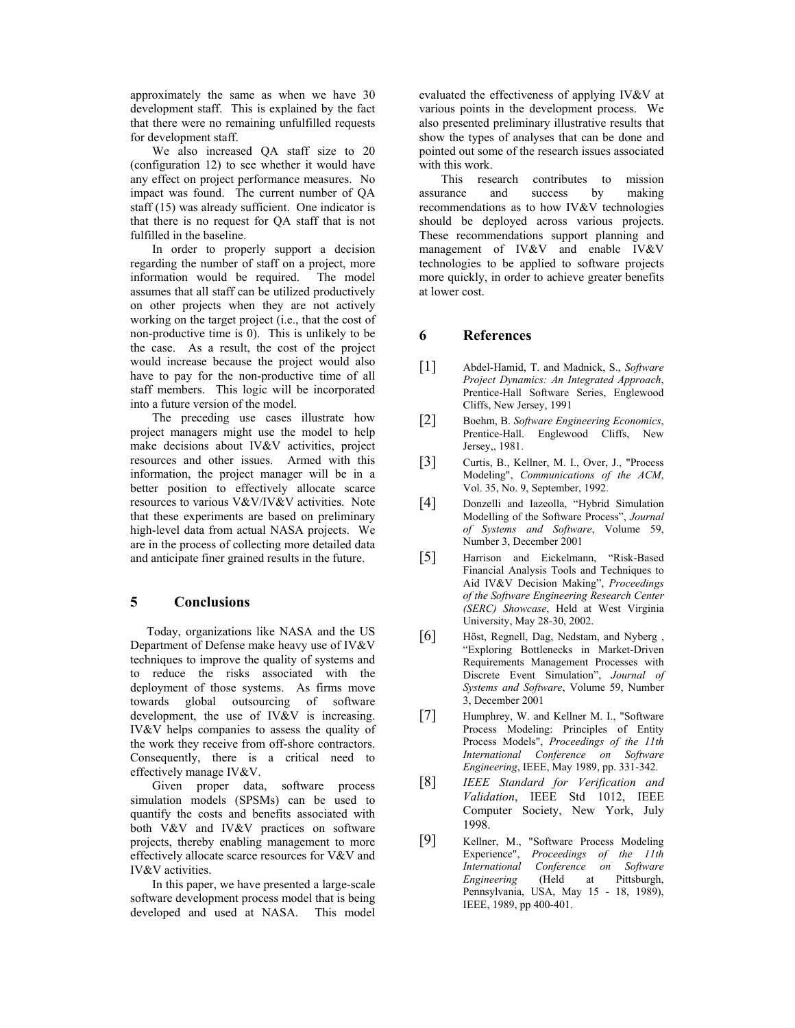approximately the same as when we have 30 development staff. This is explained by the fact that there were no remaining unfulfilled requests for development staff.

We also increased QA staff size to 20 (configuration 12) to see whether it would have any effect on project performance measures. No impact was found. The current number of QA staff (15) was already sufficient. One indicator is that there is no request for QA staff that is not fulfilled in the baseline.

In order to properly support a decision regarding the number of staff on a project, more information would be required. The model assumes that all staff can be utilized productively on other projects when they are not actively working on the target project (i.e., that the cost of non-productive time is 0). This is unlikely to be the case. As a result, the cost of the project would increase because the project would also have to pay for the non-productive time of all staff members. This logic will be incorporated into a future version of the model.

The preceding use cases illustrate how project managers might use the model to help make decisions about IV&V activities, project resources and other issues. Armed with this information, the project manager will be in a better position to effectively allocate scarce resources to various V&V/IV&V activities. Note that these experiments are based on preliminary high-level data from actual NASA projects. We are in the process of collecting more detailed data and anticipate finer grained results in the future.

### **5 Conclusions**

Today, organizations like NASA and the US Department of Defense make heavy use of IV&V techniques to improve the quality of systems and to reduce the risks associated with the deployment of those systems. As firms move towards global outsourcing of software development, the use of IV&V is increasing. IV&V helps companies to assess the quality of the work they receive from off-shore contractors. Consequently, there is a critical need to effectively manage IV&V.

Given proper data, software process simulation models (SPSMs) can be used to quantify the costs and benefits associated with both V&V and IV&V practices on software projects, thereby enabling management to more effectively allocate scarce resources for V&V and IV&V activities.

In this paper, we have presented a large-scale software development process model that is being developed and used at NASA. This model

evaluated the effectiveness of applying IV&V at various points in the development process. We also presented preliminary illustrative results that show the types of analyses that can be done and pointed out some of the research issues associated with this work.

This research contributes to mission assurance and success by making recommendations as to how IV&V technologies should be deployed across various projects. These recommendations support planning and management of IV&V and enable IV&V technologies to be applied to software projects more quickly, in order to achieve greater benefits at lower cost.

#### **6 References**

- [1] Abdel-Hamid, T. and Madnick, S., *Software Project Dynamics: An Integrated Approach*, Prentice-Hall Software Series, Englewood Cliffs, New Jersey, 1991
- [2] Boehm, B. *Software Engineering Economics*, Prentice-Hall. Englewood Cliffs, New Jersey,, 1981.
- [3] Curtis, B., Kellner, M. I., Over, J., "Process Modeling", *Communications of the ACM*, Vol. 35, No. 9, September, 1992.
- [4] Donzelli and Iazeolla, "Hybrid Simulation Modelling of the Software Process", *Journal of Systems and Software*, Volume 59, Number 3, December 2001
- [5] Harrison and Eickelmann, "Risk-Based Financial Analysis Tools and Techniques to Aid IV&V Decision Making", *Proceedings of the Software Engineering Research Center (SERC) Showcase*, Held at West Virginia University, May 28-30, 2002.
- [6] Höst, Regnell, Dag, Nedstam, and Nyberg , "Exploring Bottlenecks in Market-Driven Requirements Management Processes with Discrete Event Simulation", *Journal of Systems and Software*, Volume 59, Number 3, December 2001
- [7] Humphrey, W. and Kellner M. I., "Software Process Modeling: Principles of Entity Process Models", *Proceedings of the 11th International Conference on Software Engineering*, IEEE, May 1989, pp. 331-342.
- [8] *IEEE Standard for Verification and Validation*, IEEE Std 1012, IEEE Computer Society, New York, July 1998.
- [9] Kellner, M., "Software Process Modeling Experience", *Proceedings of the 11th International Conference on Software Engineering* (Held at Pittsburgh, Pennsylvania, USA, May 15 - 18, 1989), IEEE, 1989, pp 400-401.